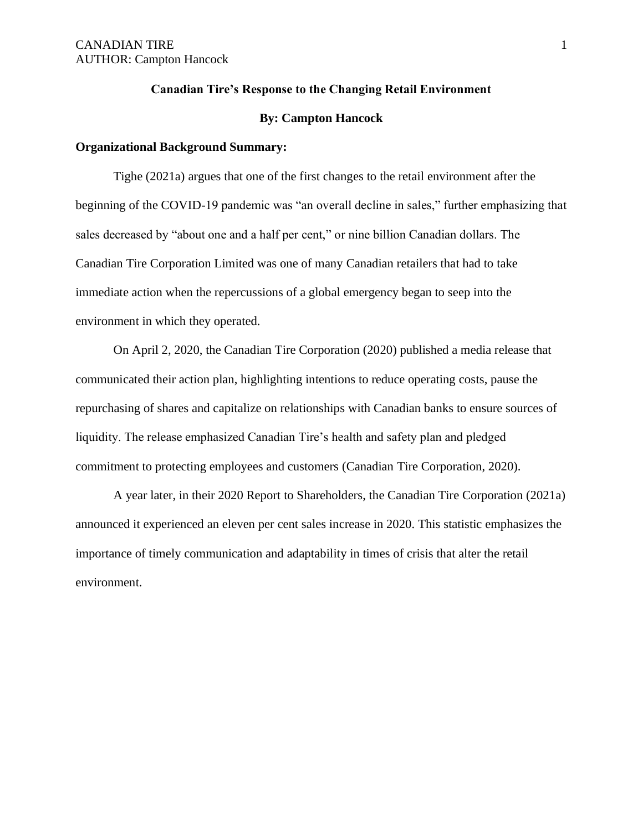#### **Canadian Tire's Response to the Changing Retail Environment**

#### **By: Campton Hancock**

#### **Organizational Background Summary:**

Tighe (2021a) argues that one of the first changes to the retail environment after the beginning of the COVID-19 pandemic was "an overall decline in sales," further emphasizing that sales decreased by "about one and a half per cent," or nine billion Canadian dollars. The Canadian Tire Corporation Limited was one of many Canadian retailers that had to take immediate action when the repercussions of a global emergency began to seep into the environment in which they operated.

On April 2, 2020, the Canadian Tire Corporation (2020) published a media release that communicated their action plan, highlighting intentions to reduce operating costs, pause the repurchasing of shares and capitalize on relationships with Canadian banks to ensure sources of liquidity. The release emphasized Canadian Tire's health and safety plan and pledged commitment to protecting employees and customers (Canadian Tire Corporation, 2020).

A year later, in their 2020 Report to Shareholders, the Canadian Tire Corporation (2021a) announced it experienced an eleven per cent sales increase in 2020. This statistic emphasizes the importance of timely communication and adaptability in times of crisis that alter the retail environment.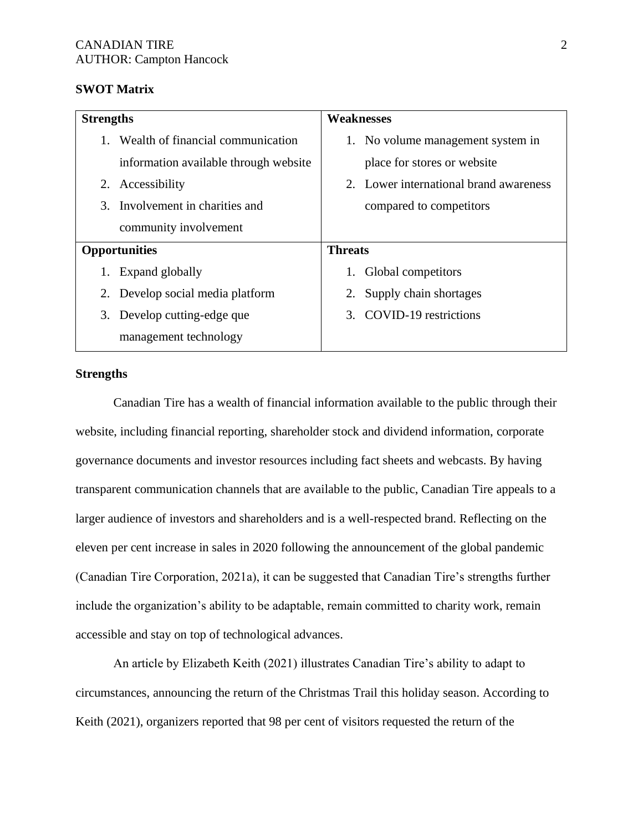### **SWOT Matrix**

| <b>Strengths</b>     |                                       | <b>Weaknesses</b>                      |  |
|----------------------|---------------------------------------|----------------------------------------|--|
|                      | Wealth of financial communication     | 1. No volume management system in      |  |
|                      | information available through website | place for stores or website            |  |
| 2.                   | Accessibility                         | 2. Lower international brand awareness |  |
| 3.                   | Involvement in charities and          | compared to competitors                |  |
|                      | community involvement                 |                                        |  |
| <b>Opportunities</b> |                                       | <b>Threats</b>                         |  |
|                      | Expand globally                       | Global competitors<br>1.               |  |
| 2.                   | Develop social media platform         | Supply chain shortages<br>2.           |  |
| 3.                   | Develop cutting-edge que              | 3. COVID-19 restrictions               |  |
|                      | management technology                 |                                        |  |

### **Strengths**

Canadian Tire has a wealth of financial information available to the public through their website, including financial reporting, shareholder stock and dividend information, corporate governance documents and investor resources including fact sheets and webcasts. By having transparent communication channels that are available to the public, Canadian Tire appeals to a larger audience of investors and shareholders and is a well-respected brand. Reflecting on the eleven per cent increase in sales in 2020 following the announcement of the global pandemic (Canadian Tire Corporation, 2021a), it can be suggested that Canadian Tire's strengths further include the organization's ability to be adaptable, remain committed to charity work, remain accessible and stay on top of technological advances.

An article by Elizabeth Keith (2021) illustrates Canadian Tire's ability to adapt to circumstances, announcing the return of the Christmas Trail this holiday season. According to Keith (2021), organizers reported that 98 per cent of visitors requested the return of the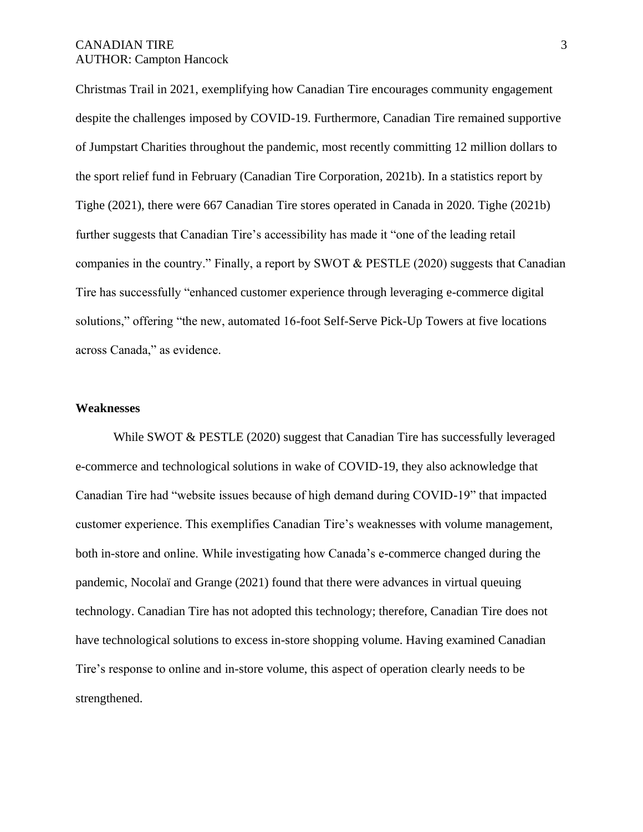Christmas Trail in 2021, exemplifying how Canadian Tire encourages community engagement despite the challenges imposed by COVID-19. Furthermore, Canadian Tire remained supportive of Jumpstart Charities throughout the pandemic, most recently committing 12 million dollars to the sport relief fund in February (Canadian Tire Corporation, 2021b). In a statistics report by Tighe (2021), there were 667 Canadian Tire stores operated in Canada in 2020. Tighe (2021b) further suggests that Canadian Tire's accessibility has made it "one of the leading retail companies in the country." Finally, a report by SWOT & PESTLE (2020) suggests that Canadian Tire has successfully "enhanced customer experience through leveraging e-commerce digital solutions," offering "the new, automated 16-foot Self-Serve Pick-Up Towers at five locations across Canada," as evidence.

#### **Weaknesses**

While SWOT & PESTLE (2020) suggest that Canadian Tire has successfully leveraged e-commerce and technological solutions in wake of COVID-19, they also acknowledge that Canadian Tire had "website issues because of high demand during COVID-19" that impacted customer experience. This exemplifies Canadian Tire's weaknesses with volume management, both in-store and online. While investigating how Canada's e-commerce changed during the pandemic, Nocolaï and Grange (2021) found that there were advances in virtual queuing technology. Canadian Tire has not adopted this technology; therefore, Canadian Tire does not have technological solutions to excess in-store shopping volume. Having examined Canadian Tire's response to online and in-store volume, this aspect of operation clearly needs to be strengthened.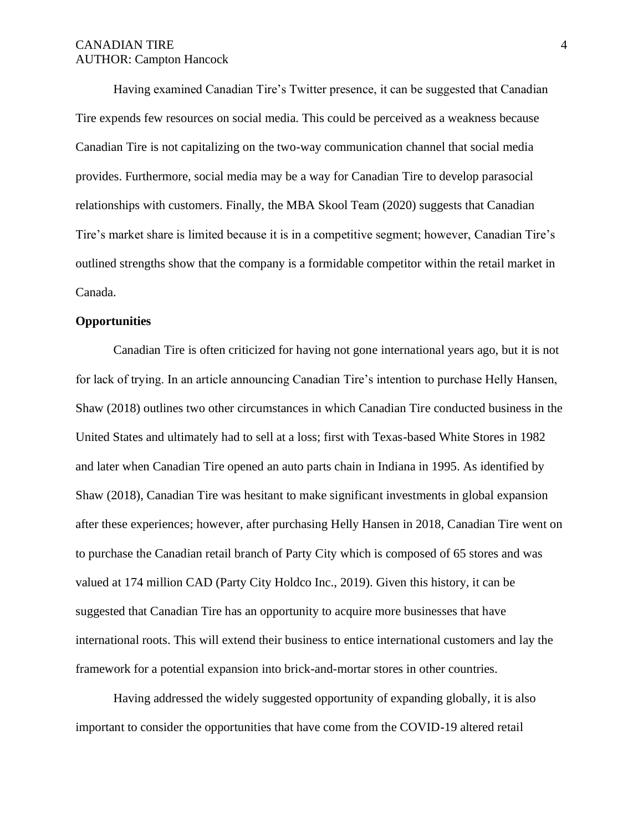Having examined Canadian Tire's Twitter presence, it can be suggested that Canadian Tire expends few resources on social media. This could be perceived as a weakness because Canadian Tire is not capitalizing on the two-way communication channel that social media provides. Furthermore, social media may be a way for Canadian Tire to develop parasocial relationships with customers. Finally, the MBA Skool Team (2020) suggests that Canadian Tire's market share is limited because it is in a competitive segment; however, Canadian Tire's outlined strengths show that the company is a formidable competitor within the retail market in Canada.

#### **Opportunities**

Canadian Tire is often criticized for having not gone international years ago, but it is not for lack of trying. In an article announcing Canadian Tire's intention to purchase Helly Hansen, Shaw (2018) outlines two other circumstances in which Canadian Tire conducted business in the United States and ultimately had to sell at a loss; first with Texas-based White Stores in 1982 and later when Canadian Tire opened an auto parts chain in Indiana in 1995. As identified by Shaw (2018), Canadian Tire was hesitant to make significant investments in global expansion after these experiences; however, after purchasing Helly Hansen in 2018, Canadian Tire went on to purchase the Canadian retail branch of Party City which is composed of 65 stores and was valued at 174 million CAD (Party City Holdco Inc., 2019). Given this history, it can be suggested that Canadian Tire has an opportunity to acquire more businesses that have international roots. This will extend their business to entice international customers and lay the framework for a potential expansion into brick-and-mortar stores in other countries.

Having addressed the widely suggested opportunity of expanding globally, it is also important to consider the opportunities that have come from the COVID-19 altered retail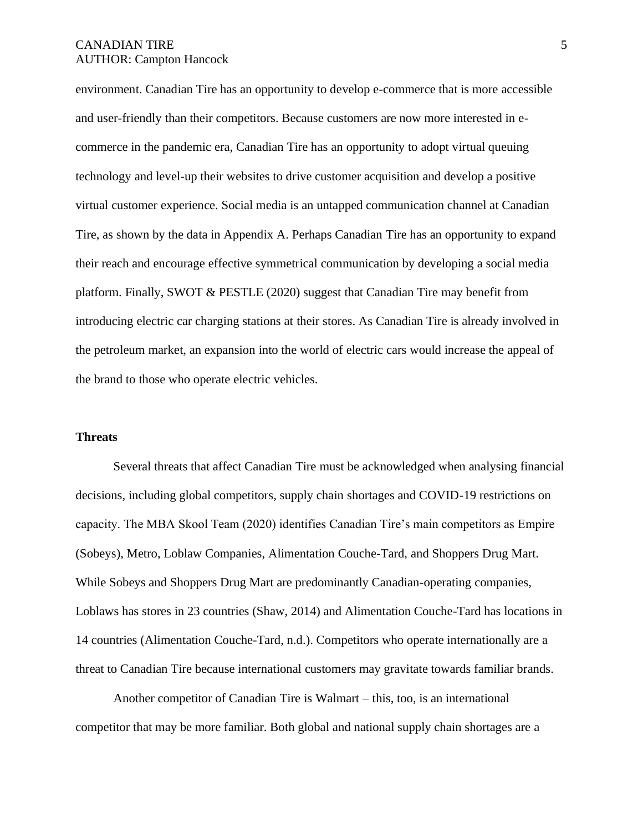environment. Canadian Tire has an opportunity to develop e-commerce that is more accessible and user-friendly than their competitors. Because customers are now more interested in ecommerce in the pandemic era, Canadian Tire has an opportunity to adopt virtual queuing technology and level-up their websites to drive customer acquisition and develop a positive virtual customer experience. Social media is an untapped communication channel at Canadian Tire, as shown by the data in Appendix A. Perhaps Canadian Tire has an opportunity to expand their reach and encourage effective symmetrical communication by developing a social media platform. Finally, SWOT & PESTLE (2020) suggest that Canadian Tire may benefit from introducing electric car charging stations at their stores. As Canadian Tire is already involved in the petroleum market, an expansion into the world of electric cars would increase the appeal of the brand to those who operate electric vehicles.

#### **Threats**

Several threats that affect Canadian Tire must be acknowledged when analysing financial decisions, including global competitors, supply chain shortages and COVID-19 restrictions on capacity. The MBA Skool Team (2020) identifies Canadian Tire's main competitors as Empire (Sobeys), Metro, Loblaw Companies, Alimentation Couche-Tard, and Shoppers Drug Mart. While Sobeys and Shoppers Drug Mart are predominantly Canadian-operating companies, Loblaws has stores in 23 countries (Shaw, 2014) and Alimentation Couche-Tard has locations in 14 countries (Alimentation Couche-Tard, n.d.). Competitors who operate internationally are a threat to Canadian Tire because international customers may gravitate towards familiar brands.

Another competitor of Canadian Tire is Walmart – this, too, is an international competitor that may be more familiar. Both global and national supply chain shortages are a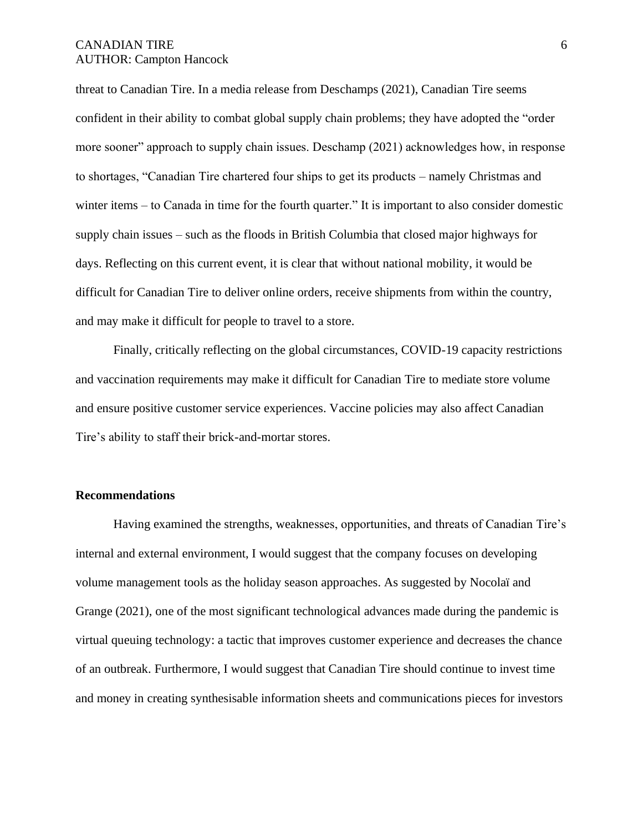threat to Canadian Tire. In a media release from Deschamps (2021), Canadian Tire seems confident in their ability to combat global supply chain problems; they have adopted the "order more sooner" approach to supply chain issues. Deschamp (2021) acknowledges how, in response to shortages, "Canadian Tire chartered four ships to get its products – namely Christmas and winter items – to Canada in time for the fourth quarter." It is important to also consider domestic supply chain issues – such as the floods in British Columbia that closed major highways for days. Reflecting on this current event, it is clear that without national mobility, it would be difficult for Canadian Tire to deliver online orders, receive shipments from within the country, and may make it difficult for people to travel to a store.

Finally, critically reflecting on the global circumstances, COVID-19 capacity restrictions and vaccination requirements may make it difficult for Canadian Tire to mediate store volume and ensure positive customer service experiences. Vaccine policies may also affect Canadian Tire's ability to staff their brick-and-mortar stores.

### **Recommendations**

Having examined the strengths, weaknesses, opportunities, and threats of Canadian Tire's internal and external environment, I would suggest that the company focuses on developing volume management tools as the holiday season approaches. As suggested by Nocolaï and Grange (2021), one of the most significant technological advances made during the pandemic is virtual queuing technology: a tactic that improves customer experience and decreases the chance of an outbreak. Furthermore, I would suggest that Canadian Tire should continue to invest time and money in creating synthesisable information sheets and communications pieces for investors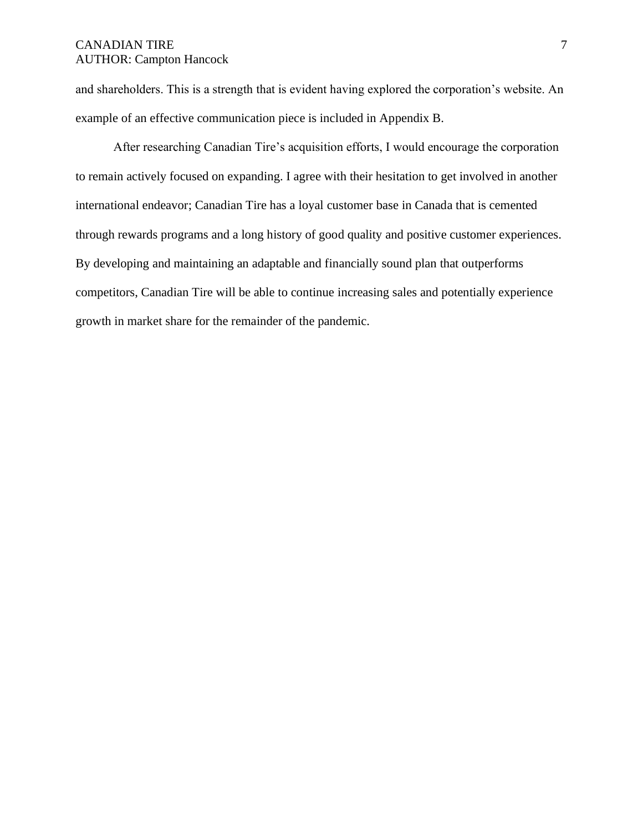and shareholders. This is a strength that is evident having explored the corporation's website. An example of an effective communication piece is included in Appendix B.

After researching Canadian Tire's acquisition efforts, I would encourage the corporation to remain actively focused on expanding. I agree with their hesitation to get involved in another international endeavor; Canadian Tire has a loyal customer base in Canada that is cemented through rewards programs and a long history of good quality and positive customer experiences. By developing and maintaining an adaptable and financially sound plan that outperforms competitors, Canadian Tire will be able to continue increasing sales and potentially experience growth in market share for the remainder of the pandemic.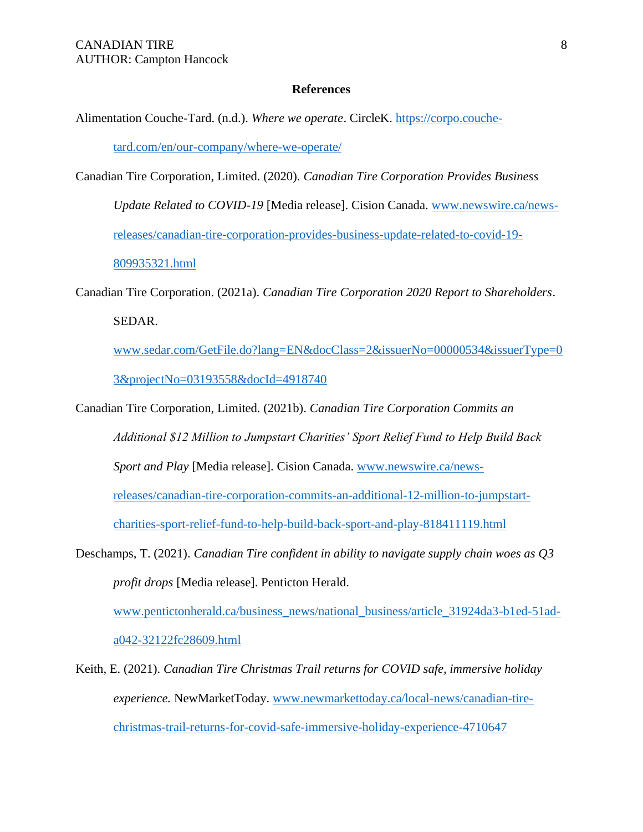### **References**

Alimentation Couche-Tard. (n.d.). *Where we operate*. CircleK. [https://corpo.couche-](https://corpo.couche-tard.com/en/our-company/where-we-operate/)

[tard.com/en/our-company/where-we-operate/](https://corpo.couche-tard.com/en/our-company/where-we-operate/)

Canadian Tire Corporation, Limited. (2020). *Canadian Tire Corporation Provides Business Update Related to COVID-19* [Media release]. Cision Canada. [www.newswire.ca/news](http://www.newswire.ca/news-releases/canadian-tire-corporation-provides-business-update-related-to-covid-19-809935321.html)[releases/canadian-tire-corporation-provides-business-update-related-to-covid-19-](http://www.newswire.ca/news-releases/canadian-tire-corporation-provides-business-update-related-to-covid-19-809935321.html) [809935321.html](http://www.newswire.ca/news-releases/canadian-tire-corporation-provides-business-update-related-to-covid-19-809935321.html)

Canadian Tire Corporation. (2021a). *Canadian Tire Corporation 2020 Report to Shareholders*. SEDAR.

[www.sedar.com/GetFile.do?lang=EN&docClass=2&issuerNo=00000534&issuerType=0](http://www.sedar.com/GetFile.do?lang=EN&docClass=2&issuerNo=00000534&issuerType=03&projectNo=03193558&docId=4918740) [3&projectNo=03193558&docId=4918740](http://www.sedar.com/GetFile.do?lang=EN&docClass=2&issuerNo=00000534&issuerType=03&projectNo=03193558&docId=4918740)

- Canadian Tire Corporation, Limited. (2021b). *Canadian Tire Corporation Commits an Additional \$12 Million to Jumpstart Charities' Sport Relief Fund to Help Build Back Sport and Play* [Media release]. Cision Canada. [www.newswire.ca/news](http://www.newswire.ca/news-releases/canadian-tire-corporation-commits-an-additional-12-million-to-jumpstart-charities-sport-relief-fund-to-help-build-back-sport-and-play-818411119.html)[releases/canadian-tire-corporation-commits-an-additional-12-million-to-jumpstart](http://www.newswire.ca/news-releases/canadian-tire-corporation-commits-an-additional-12-million-to-jumpstart-charities-sport-relief-fund-to-help-build-back-sport-and-play-818411119.html)[charities-sport-relief-fund-to-help-build-back-sport-and-play-818411119.html](http://www.newswire.ca/news-releases/canadian-tire-corporation-commits-an-additional-12-million-to-jumpstart-charities-sport-relief-fund-to-help-build-back-sport-and-play-818411119.html)
- Deschamps, T. (2021). *Canadian Tire confident in ability to navigate supply chain woes as Q3 profit drops* [Media release]. Penticton Herald.

[www.pentictonherald.ca/business\\_news/national\\_business/article\\_31924da3-b1ed-51ad](http://www.pentictonherald.ca/business_news/national_business/article_31924da3-b1ed-51ad-a042-32122fc28609.html)[a042-32122fc28609.html](http://www.pentictonherald.ca/business_news/national_business/article_31924da3-b1ed-51ad-a042-32122fc28609.html)

Keith, E. (2021). *Canadian Tire Christmas Trail returns for COVID safe, immersive holiday experience.* NewMarketToday. [www.newmarkettoday.ca/local-news/canadian-tire](http://www.newmarkettoday.ca/local-news/canadian-tire-christmas-trail-returns-for-covid-safe-immersive-holiday-experience-4710647)[christmas-trail-returns-for-covid-safe-immersive-holiday-experience-4710647](http://www.newmarkettoday.ca/local-news/canadian-tire-christmas-trail-returns-for-covid-safe-immersive-holiday-experience-4710647)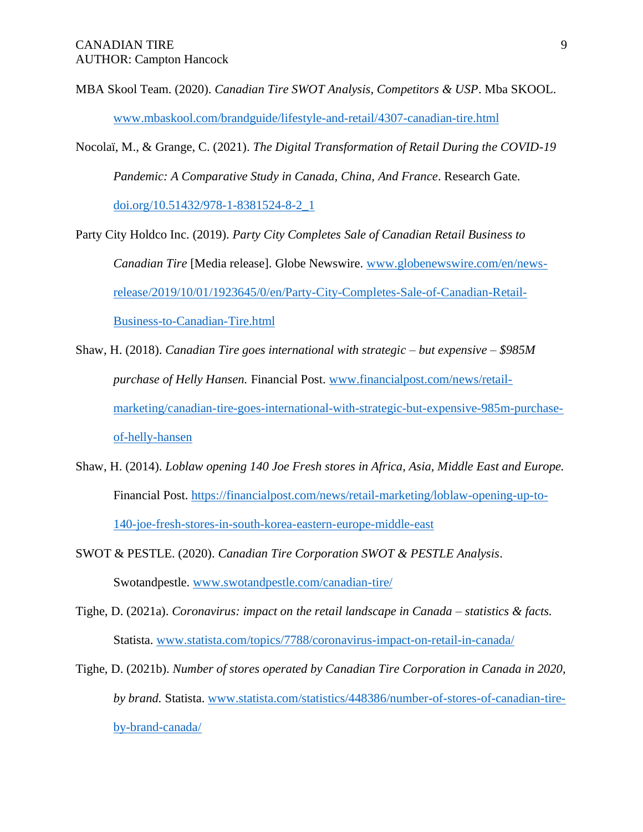MBA Skool Team. (2020). *Canadian Tire SWOT Analysis, Competitors & USP*. Mba SKOOL. [www.mbaskool.com/brandguide/lifestyle-and-retail/4307-canadian-tire.html](http://www.mbaskool.com/brandguide/lifestyle-and-retail/4307-canadian-tire.html)

Nocolaï, M., & Grange, C. (2021). *The Digital Transformation of Retail During the COVID-19 Pandemic: A Comparative Study in Canada, China, And France*. Research Gate.

[doi.org/10.51432/978-1-8381524-8-2\\_1](https://doi.org/10.51432/978-1-8381524-8-2_1)

Party City Holdco Inc. (2019). *Party City Completes Sale of Canadian Retail Business to Canadian Tire* [Media release]. Globe Newswire. [www.globenewswire.com/en/news](http://www.globenewswire.com/en/news-release/2019/10/01/1923645/0/en/Party-City-Completes-Sale-of-Canadian-Retail-Business-to-Canadian-Tire.html)[release/2019/10/01/1923645/0/en/Party-City-Completes-Sale-of-Canadian-Retail-](http://www.globenewswire.com/en/news-release/2019/10/01/1923645/0/en/Party-City-Completes-Sale-of-Canadian-Retail-Business-to-Canadian-Tire.html)[Business-to-Canadian-Tire.html](http://www.globenewswire.com/en/news-release/2019/10/01/1923645/0/en/Party-City-Completes-Sale-of-Canadian-Retail-Business-to-Canadian-Tire.html)

- Shaw, H. (2018). *Canadian Tire goes international with strategic – but expensive – \$985M purchase of Helly Hansen.* Financial Post. [www.financialpost.com/news/retail](http://www.financialpost.com/news/retail-marketing/canadian-tire-goes-international-with-strategic-but-expensive-985m-purchase-of-helly-hansen)[marketing/canadian-tire-goes-international-with-strategic-but-expensive-985m-purchase](http://www.financialpost.com/news/retail-marketing/canadian-tire-goes-international-with-strategic-but-expensive-985m-purchase-of-helly-hansen)[of-helly-hansen](http://www.financialpost.com/news/retail-marketing/canadian-tire-goes-international-with-strategic-but-expensive-985m-purchase-of-helly-hansen)
- Shaw, H. (2014). *Loblaw opening 140 Joe Fresh stores in Africa, Asia, Middle East and Europe.*  Financial Post. [https://financialpost.com/news/retail-marketing/loblaw-opening-up-to-](https://financialpost.com/news/retail-marketing/loblaw-opening-up-to-140-joe-fresh-stores-in-south-korea-eastern-europe-middle-east)[140-joe-fresh-stores-in-south-korea-eastern-europe-middle-east](https://financialpost.com/news/retail-marketing/loblaw-opening-up-to-140-joe-fresh-stores-in-south-korea-eastern-europe-middle-east)
- SWOT & PESTLE. (2020). *Canadian Tire Corporation SWOT & PESTLE Analysis*. Swotandpestle. [www.swotandpestle.com/canadian-tire/](http://www.swotandpestle.com/canadian-tire/)
- Tighe, D. (2021a). *Coronavirus: impact on the retail landscape in Canada – statistics & facts.* Statista. [www.statista.com/topics/7788/coronavirus-impact-on-retail-in-canada/](http://www.statista.com/topics/7788/coronavirus-impact-on-retail-in-canada/)
- Tighe, D. (2021b). *Number of stores operated by Canadian Tire Corporation in Canada in 2020, by brand.* Statista. [www.statista.com/statistics/448386/number-of-stores-of-canadian-tire](http://www.statista.com/statistics/448386/number-of-stores-of-canadian-tire-by-brand-canada/)[by-brand-canada/](http://www.statista.com/statistics/448386/number-of-stores-of-canadian-tire-by-brand-canada/)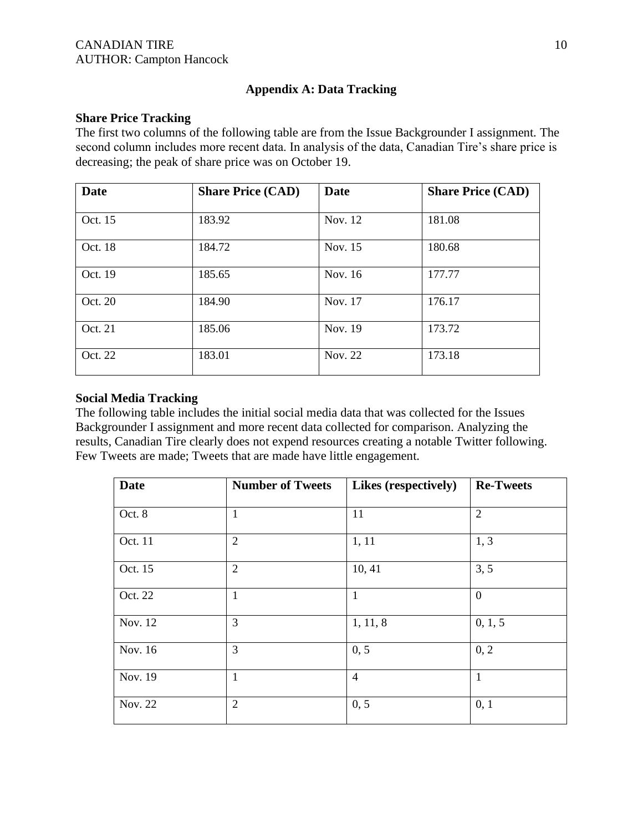# **Appendix A: Data Tracking**

## **Share Price Tracking**

The first two columns of the following table are from the Issue Backgrounder I assignment. The second column includes more recent data. In analysis of the data, Canadian Tire's share price is decreasing; the peak of share price was on October 19.

| <b>Date</b> | <b>Share Price (CAD)</b> | <b>Date</b> | <b>Share Price (CAD)</b> |
|-------------|--------------------------|-------------|--------------------------|
|             |                          |             |                          |
| Oct. 15     | 183.92                   | Nov. 12     | 181.08                   |
| Oct. 18     | 184.72                   | Nov. 15     | 180.68                   |
| Oct. 19     | 185.65                   | Nov. 16     | 177.77                   |
| Oct. 20     | 184.90                   | Nov. 17     | 176.17                   |
| Oct. 21     | 185.06                   | Nov. 19     | 173.72                   |
| Oct. 22     | 183.01                   | Nov. 22     | 173.18                   |

## **Social Media Tracking**

The following table includes the initial social media data that was collected for the Issues Backgrounder I assignment and more recent data collected for comparison. Analyzing the results, Canadian Tire clearly does not expend resources creating a notable Twitter following. Few Tweets are made; Tweets that are made have little engagement.

| <b>Date</b> | <b>Number of Tweets</b> | Likes (respectively) | <b>Re-Tweets</b> |
|-------------|-------------------------|----------------------|------------------|
| Oct. 8      | $\mathbf{1}$            | 11                   | $\overline{2}$   |
| Oct. 11     | $\overline{2}$          | 1, 11                | 1, 3             |
| Oct. 15     | $\overline{2}$          | 10, 41               | 3, 5             |
| Oct. 22     | $\mathbf{1}$            | $\mathbf{1}$         | $\overline{0}$   |
| Nov. 12     | 3                       | 1, 11, 8             | 0, 1, 5          |
| Nov. 16     | 3                       | 0, 5                 | 0, 2             |
| Nov. 19     | $\mathbf{1}$            | $\overline{4}$       | $\mathbf{1}$     |
| Nov. 22     | $\overline{2}$          | 0, 5                 | 0, 1             |